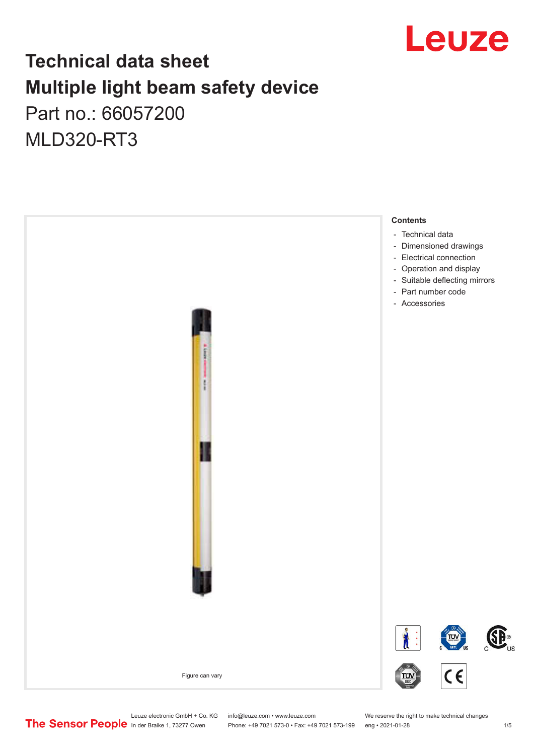

## **Technical data sheet Multiple light beam safety device**  Part no.: 66057200

MLD320-RT3



Leuze electronic GmbH + Co. KG info@leuze.com • www.leuze.com We reserve the right to make technical changes<br>
The Sensor People in der Braike 1, 73277 Owen Phone: +49 7021 573-0 • Fax: +49 7021 573-199 eng • 2021-01-28

Phone: +49 7021 573-0 • Fax: +49 7021 573-199 eng • 2021-01-28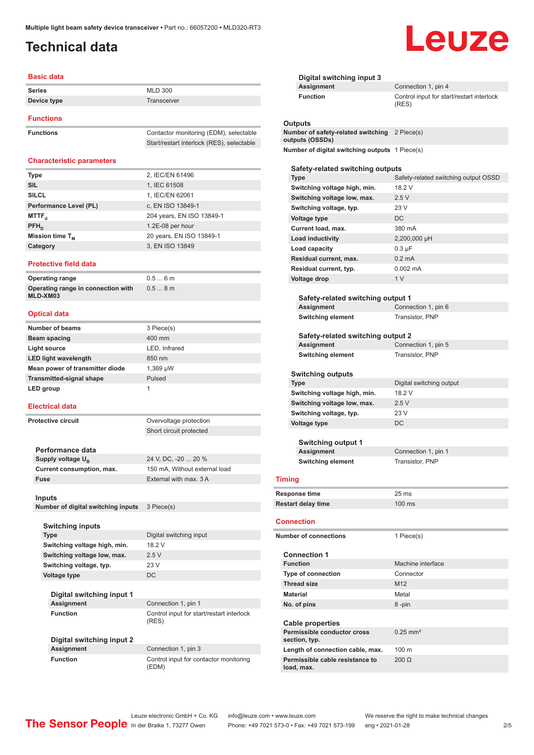## <span id="page-1-0"></span>**Technical data**

#### **Basic data**

| <b>Series</b>    | <b>MLD 300</b> |  |
|------------------|----------------|--|
| Device type      | Transceiver    |  |
| <b>Functions</b> |                |  |

| <b>Functions</b> | Contactor monitoring (EDM), selectable    |
|------------------|-------------------------------------------|
|                  | Start/restart interlock (RES), selectable |

#### **Characteristic parameters**

| <b>Type</b>            | 2, IEC/EN 61496           |
|------------------------|---------------------------|
| <b>SIL</b>             | 1, IEC 61508              |
| <b>SILCL</b>           | 1, IEC/EN 62061           |
| Performance Level (PL) | c, EN ISO 13849-1         |
| MTTF <sub>a</sub>      | 204 years, EN ISO 13849-1 |
| $PFH_n$                | 1.2E-08 per hour          |
| Mission time $T_M$     | 20 years, EN ISO 13849-1  |
| Category               | 3, EN ISO 13849           |
|                        |                           |

#### **Protective field data**

| Operating range                                | 0.56m |
|------------------------------------------------|-------|
| Operating range in connection with<br>MLD-XM03 | 0.58m |

#### **Optical data**

| <b>Number of beams</b>          | 3 Piece(s)    |
|---------------------------------|---------------|
| Beam spacing                    | 400 mm        |
| Light source                    | LED, Infrared |
| <b>LED light wavelength</b>     | 850 nm        |
| Mean power of transmitter diode | 1,369 µW      |
| <b>Transmitted-signal shape</b> | Pulsed        |
| LED group                       |               |

#### **Electrical data**

**Protective circuit COVER 1999 COVERVIEGES OVERVIEGES COVER** 

Short circuit protected

24 V, DC, -20 ... 20 %

**Digital switching input** 

**18.2 V**  $2.5 V$ 

**Performance data** Supply voltage  $U_B$ **Current consumption, max.** 150 mA, Without external load **Fuse** External with max. 3 A

**Inputs**

**Number of digital switching inputs** 3 Piece(s)

| <b>Switching inputs</b>      |                  |
|------------------------------|------------------|
| <b>Type</b>                  | Digit            |
| Switching voltage high, min. | 18.2             |
| Switching voltage low, max.  | $2.5 \backslash$ |
| Switching voltage, typ.      | 23 V             |
| Voltage type                 | DC.              |
|                              |                  |

**Digital switching input 1 Assignment** Connection 1, pin 1

**Function Function** Control input for start/restart interlock (RES)

**Digital switching input 2 Assignment** Connection 1, pin 3

**Function** Control input for contactor monitoring (EDM)

| Digital switching input 3                                                   |                                                    |
|-----------------------------------------------------------------------------|----------------------------------------------------|
| <b>Assignment</b>                                                           | Connection 1, pin 4                                |
| <b>Function</b>                                                             | Control input for start/restart interlock<br>(RES) |
| Outputs<br>Number of safety-related switching 2 Piece(s)<br>outputs (OSSDs) |                                                    |
| Number of digital switching outputs 1 Piece(s)                              |                                                    |
| Safety-related switching outputs                                            |                                                    |
| <b>Type</b>                                                                 | Safety-related switching output OSSD               |
| Switching voltage high, min.                                                | 18.2 V                                             |
| Switching voltage low, max.                                                 | 2.5V                                               |
| Switching voltage, typ.                                                     | 23 V                                               |
| <b>Voltage type</b>                                                         | DC                                                 |
|                                                                             | 380 mA                                             |
| Current load, max.                                                          |                                                    |
| Load inductivity                                                            | 2,200,000 µH                                       |
| Load capacity                                                               | $0.3 \mu F$                                        |
| Residual current, max.                                                      | $0.2 \text{ mA}$                                   |
| Residual current, typ.                                                      | $0.002 \, \text{mA}$                               |
| Voltage drop                                                                | 1 <sub>V</sub>                                     |
| Safety-related switching output 1                                           |                                                    |
| Assignment                                                                  | Connection 1, pin 6                                |
| <b>Switching element</b>                                                    | Transistor, PNP                                    |
| Safety-related switching output 2                                           |                                                    |
| Assignment                                                                  | Connection 1, pin 5                                |
| <b>Switching element</b>                                                    | Transistor, PNP                                    |
|                                                                             |                                                    |
| Switching outputs                                                           |                                                    |
| <b>Type</b>                                                                 | Digital switching output                           |
| Switching voltage high, min.                                                | 18.2 V                                             |
| Switching voltage low, max.                                                 | 2.5V                                               |
| Switching voltage, typ.                                                     | 23 V                                               |
| <b>Voltage type</b>                                                         | DC                                                 |
|                                                                             |                                                    |
| <b>Switching output 1</b>                                                   |                                                    |
| Assignment                                                                  | Connection 1, pin 1                                |
| <b>Switching element</b>                                                    | Transistor, PNP                                    |
| <b>Timing</b>                                                               |                                                    |
|                                                                             |                                                    |
| Response time                                                               | 25 <sub>ms</sub>                                   |
| <b>Restart delay time</b>                                                   | 100 ms                                             |
| <b>Connection</b>                                                           |                                                    |
| <b>Number of connections</b>                                                | 1 Piece(s)                                         |
| <b>Connection 1</b>                                                         |                                                    |
| <b>Function</b>                                                             | Machine interface                                  |
| <b>Type of connection</b>                                                   | Connector                                          |
| <b>Thread size</b>                                                          | M <sub>12</sub>                                    |
| <b>Material</b>                                                             | Metal                                              |
| No. of pins                                                                 | 8-pin                                              |
|                                                                             |                                                    |
| <b>Cable properties</b><br>Permissible conductor cross                      | $0.25$ mm <sup>2</sup>                             |
| section, typ.                                                               |                                                    |
| Length of connection cable, max.                                            | 100 <sub>m</sub>                                   |
| Permissible cable resistance to<br>load, max.                               | $200 \Omega$                                       |

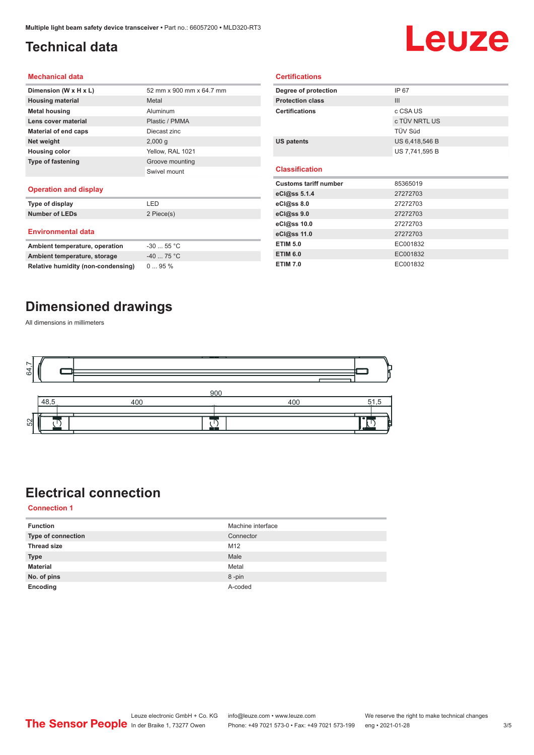## <span id="page-2-0"></span>**Technical data**

# Leuze

#### **Mechanical data**

| Dimension (W x H x L)    | 52 mm x 900 mm x 64.7 mm |
|--------------------------|--------------------------|
| <b>Housing material</b>  | Metal                    |
| <b>Metal housing</b>     | Aluminum                 |
| Lens cover material      | Plastic / PMMA           |
| Material of end caps     | Diecast zinc             |
| Net weight               | 2,000q                   |
| <b>Housing color</b>     | Yellow, RAL 1021         |
| <b>Type of fastening</b> | Groove mounting          |
|                          | Swivel mount             |
| .                        |                          |

#### **Operation and display**

| Type of display                | I FD        |
|--------------------------------|-------------|
| <b>Number of LEDs</b>          | 2 Piece(s)  |
| <b>Environmental data</b>      |             |
| Ambient temperature, operation | $-30$ 55 °C |
|                                | $\sim$      |

| Ambient temperature, operation     | $-3055$ °C |
|------------------------------------|------------|
| Ambient temperature, storage       | $-4075 °C$ |
| Relative humidity (non-condensing) | $095\%$    |

| Degree of protection         | IP 67          |  |
|------------------------------|----------------|--|
| <b>Protection class</b>      | III            |  |
| <b>Certifications</b>        | c CSA US       |  |
|                              | c TÜV NRTL US  |  |
|                              | TÜV Süd        |  |
| <b>US patents</b>            | US 6,418,546 B |  |
|                              | US 7,741,595 B |  |
|                              |                |  |
| <b>Classification</b>        |                |  |
| <b>Customs tariff number</b> | 85365019       |  |
| eCl@ss 5.1.4                 | 27272703       |  |
| eCl@ss 8.0                   | 27272703       |  |
| eCl@ss 9.0                   | 27272703       |  |
| eCl@ss 10.0                  | 27272703       |  |
| eCl@ss 11.0                  | 27272703       |  |

**ETIM 6.0** EC001832 **ETIM 7.0** EC001832

**Certifications**

### **Dimensioned drawings**

All dimensions in millimeters



## **Electrical connection**

**Connection 1**

| <b>Function</b>           | Machine interface |
|---------------------------|-------------------|
| <b>Type of connection</b> | Connector         |
| <b>Thread size</b>        | M12               |
| <b>Type</b>               | Male              |
| <b>Material</b>           | Metal             |
| No. of pins               | 8-pin             |
| Encoding                  | A-coded           |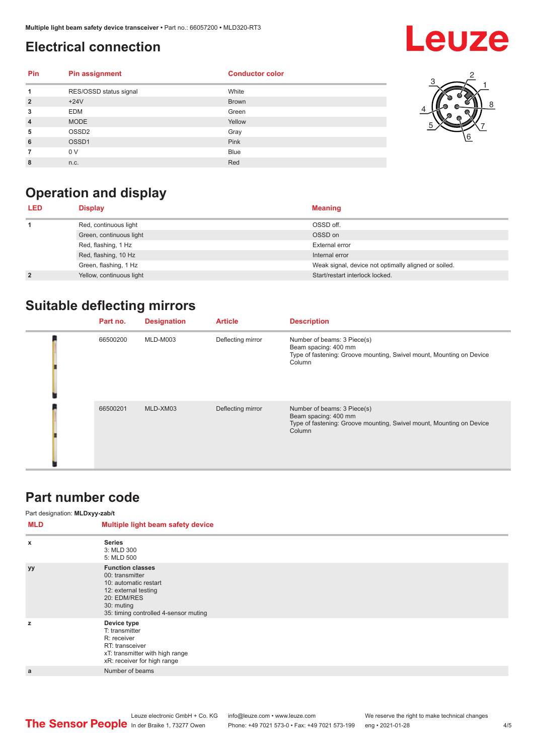## <span id="page-3-0"></span>**Electrical connection**

## **Leuze**

| Pin            | <b>Pin assignment</b>  | <b>Conductor color</b> |  |
|----------------|------------------------|------------------------|--|
|                | RES/OSSD status signal | White                  |  |
| $\overline{2}$ | $+24V$                 | <b>Brown</b>           |  |
| 3              | <b>EDM</b>             | Green                  |  |
| $\overline{4}$ | <b>MODE</b>            | Yellow                 |  |
| 5              | OSSD <sub>2</sub>      | Gray                   |  |
| 6              | OSSD1                  | Pink                   |  |
|                | 0 V                    | <b>Blue</b>            |  |
| 8              | n.c.                   | Red                    |  |



## **Operation and display**

| <b>LED</b>     | <b>Display</b>           | <b>Meaning</b>                                       |
|----------------|--------------------------|------------------------------------------------------|
|                | Red, continuous light    | OSSD off.                                            |
|                | Green, continuous light  | OSSD on                                              |
|                | Red, flashing, 1 Hz      | External error                                       |
|                | Red, flashing, 10 Hz     | Internal error                                       |
|                | Green, flashing, 1 Hz    | Weak signal, device not optimally aligned or soiled. |
| $\overline{2}$ | Yellow, continuous light | Start/restart interlock locked.                      |

## **Suitable deflecting mirrors**

| Part no. | <b>Designation</b> | <b>Article</b>    | <b>Description</b>                                                                                                                    |
|----------|--------------------|-------------------|---------------------------------------------------------------------------------------------------------------------------------------|
| 66500200 | MLD-M003           | Deflecting mirror | Number of beams: 3 Piece(s)<br>Beam spacing: 400 mm<br>Type of fastening: Groove mounting, Swivel mount, Mounting on Device<br>Column |
| 66500201 | MLD-XM03           | Deflecting mirror | Number of beams: 3 Piece(s)<br>Beam spacing: 400 mm<br>Type of fastening: Groove mounting, Swivel mount, Mounting on Device<br>Column |

#### **Part number code**

#### Part designation: **MLDxyy-zab/t**

| <b>Series</b><br>$\boldsymbol{\mathsf{x}}$<br>3: MLD 300<br>5: MLD 500<br><b>Function classes</b><br>yy<br>00: transmitter<br>10: automatic restart<br>12: external testing<br>20: EDM/RES<br>30: muting<br>35: timing controlled 4-sensor muting<br>Device type<br>z<br>T: transmitter<br>R: receiver<br>RT: transceiver<br>xT: transmitter with high range<br>xR: receiver for high range<br>Number of beams<br>a | <b>MLD</b> | Multiple light beam safety device |
|---------------------------------------------------------------------------------------------------------------------------------------------------------------------------------------------------------------------------------------------------------------------------------------------------------------------------------------------------------------------------------------------------------------------|------------|-----------------------------------|
|                                                                                                                                                                                                                                                                                                                                                                                                                     |            |                                   |
|                                                                                                                                                                                                                                                                                                                                                                                                                     |            |                                   |
|                                                                                                                                                                                                                                                                                                                                                                                                                     |            |                                   |
|                                                                                                                                                                                                                                                                                                                                                                                                                     |            |                                   |